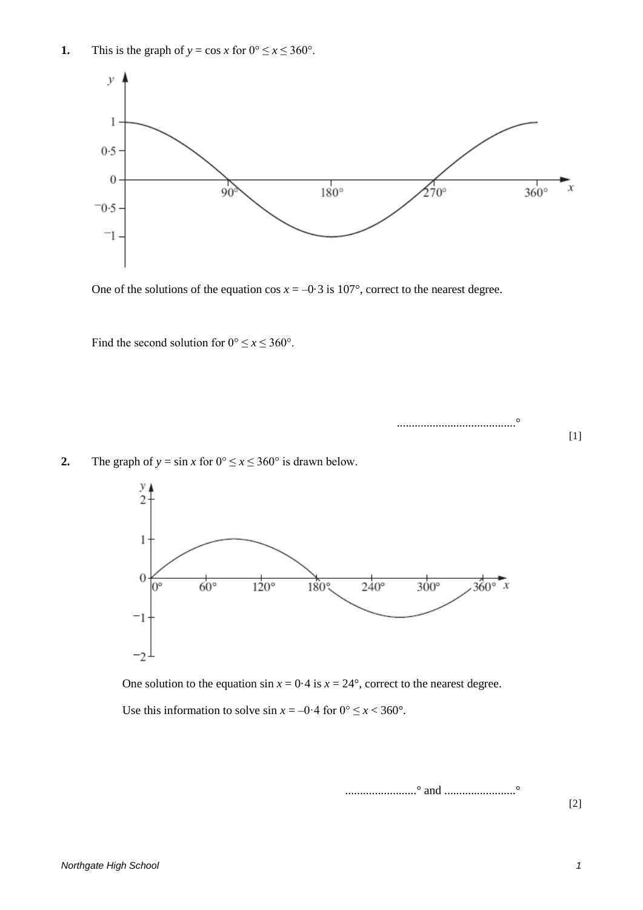

One of the solutions of the equation  $\cos x = -0.3$  is 107°, correct to the nearest degree.

Find the second solution for  $0^{\circ} \le x \le 360^{\circ}$ .

........................................°

**2.** The graph of  $y = \sin x$  for  $0^{\circ} \le x \le 360^{\circ}$  is drawn below.



One solution to the equation  $\sin x = 0.4$  is  $x = 24^{\circ}$ , correct to the nearest degree.

Use this information to solve  $\sin x = -0.4$  for  $0^{\circ} \le x < 360^{\circ}$ .

........................° and ........................°

[2]

[1]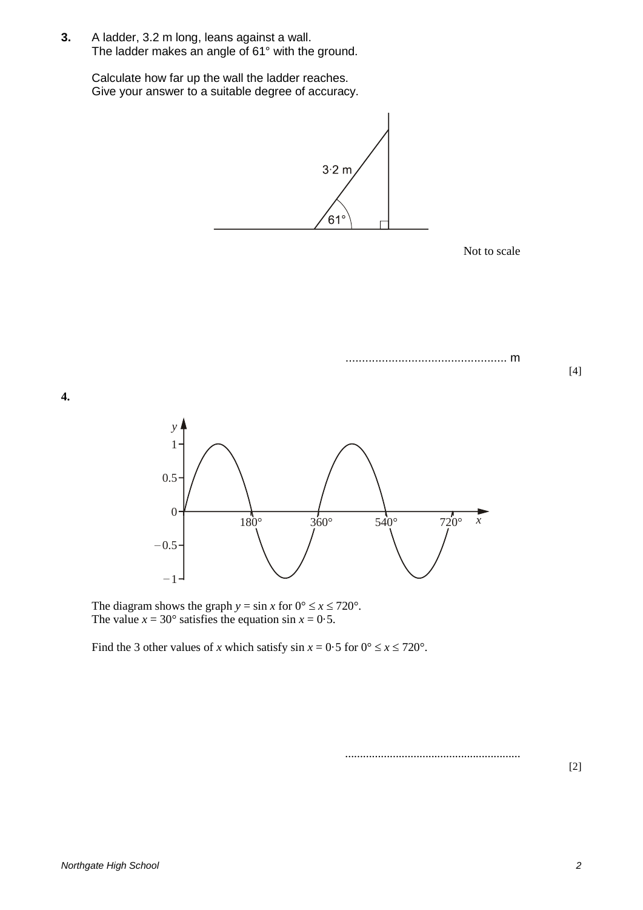**3.** A ladder, 3.2 m long, leans against a wall. The ladder makes an angle of 61° with the ground.

> Calculate how far up the wall the ladder reaches. Give your answer to a suitable degree of accuracy.



Not to scale

................................................. m



The diagram shows the graph  $y = \sin x$  for  $0^{\circ} \le x \le 720^{\circ}$ . The value  $x = 30^{\circ}$  satisfies the equation sin  $x = 0.5$ .

Find the 3 other values of *x* which satisfy  $\sin x = 0.5$  for  $0^{\circ} \le x \le 720^{\circ}$ .

...........................................................

[2]

[4]

**4.**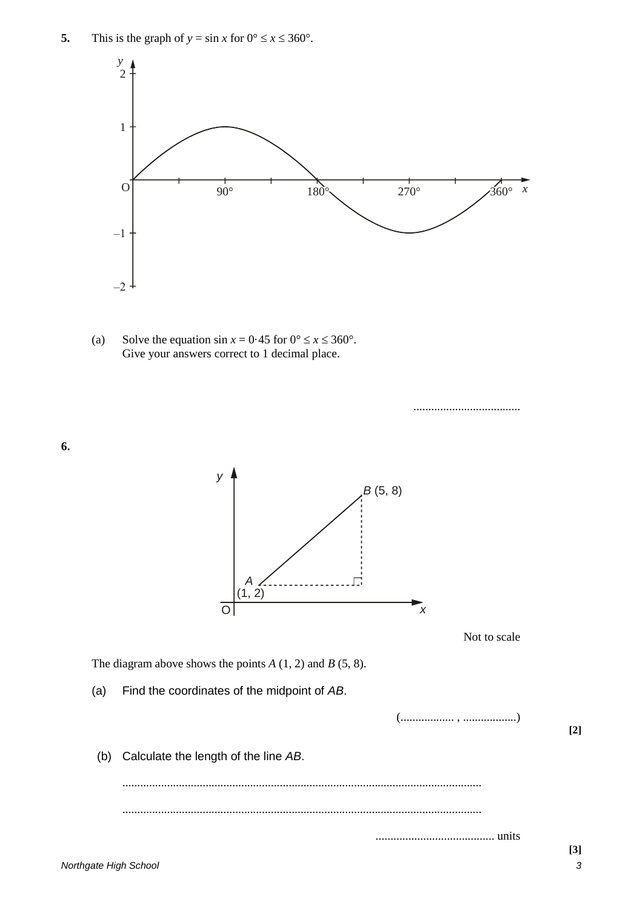

(a) Solve the equation  $\sin x = 0.45$  for  $0^{\circ} \le x \le 360^{\circ}$ . Give your answers correct to 1 decimal place.

....................................

**6.**

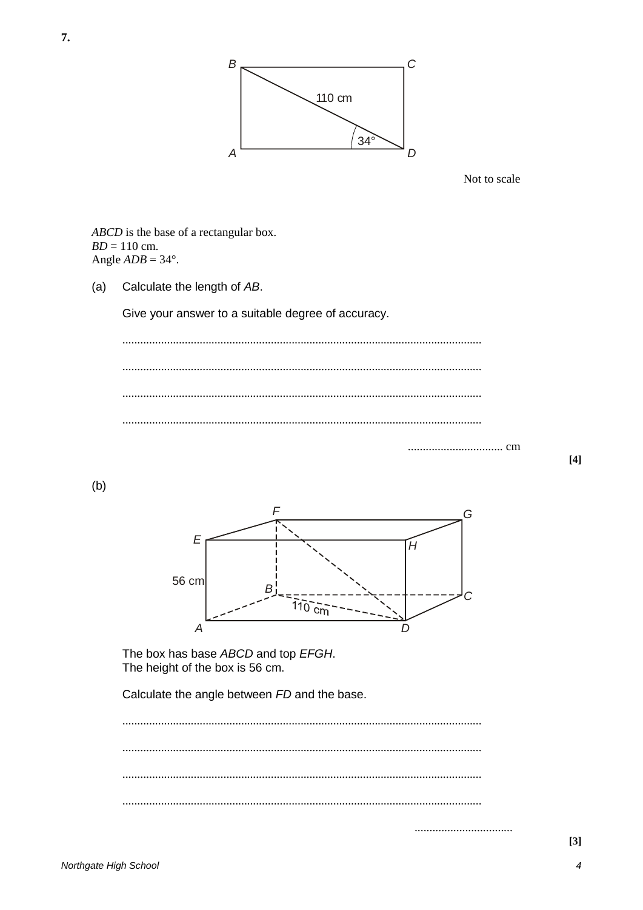

Not to scale

ABCD is the base of a rectangular box.  $BD = 110$  cm. Angle  $ADB = 34^\circ$ .

Calculate the length of AB.  $(a)$ 

Give your answer to a suitable degree of accuracy.

 $[4]$ 

 $(b)$ 



The box has base ABCD and top EFGH. The height of the box is 56 cm.

Calculate the angle between FD and the base.

 $[3]$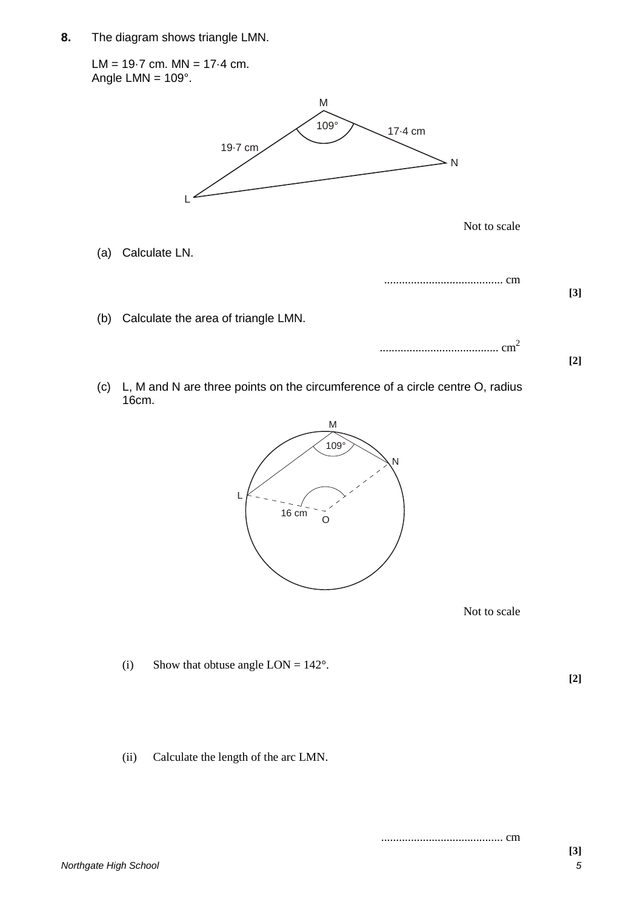**8.** The diagram shows triangle LMN.

LM =  $19.7$  cm. MN =  $17.4$  cm. Angle  $LMN = 109^\circ$ . Not to scale (a) Calculate LN. ........................................ cm **[3]** (b) Calculate the area of triangle LMN. ........................................ cm<sup>2</sup> 109° 17.4 cm<br>
Not to scale<br>
<br> **EXERENT MANUSICAL CONSTANT CONSTANT CONSUMING CONSUMING PROPERTY AND NOT CONSUMING PROPERTY CONSUMING PROPERTY CONSUMING PROPERTY CONSUMING PROPERTY CONSUMING PROPERTY CONSUMING PROPERTY CONS** M  $\geq N$ L 19.7 cm 17.4 cm

(c) L, M and N are three points on the circumference of a circle centre O, radius 16cm.



Not to scale

(i) Show that obtuse angle  $LON = 142^{\circ}$ .

**[2]**

**[2]**

(ii) Calculate the length of the arc LMN.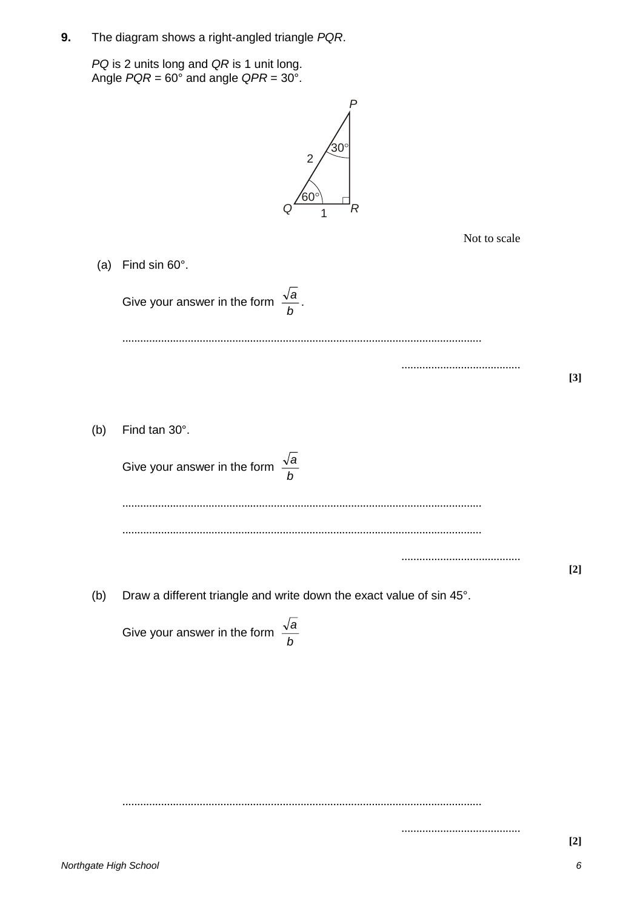**9.** The diagram shows a right-angled triangle *PQR*.

*PQ* is 2 units long and *QR* is 1 unit long. Angle *PQR* = 60° and angle *QPR* = 30°.

|     | $^{\prime}$ 30 $^{\circ}$<br>$\overline{2}$<br>60 <sup>°</sup><br>R  |       |  |  |  |  |  |
|-----|----------------------------------------------------------------------|-------|--|--|--|--|--|
|     | Not to scale                                                         |       |  |  |  |  |  |
|     | (a) Find sin $60^\circ$ .                                            |       |  |  |  |  |  |
|     | Give your answer in the form $\frac{\sqrt{a}}{b}$ .                  |       |  |  |  |  |  |
|     |                                                                      |       |  |  |  |  |  |
|     |                                                                      | $[3]$ |  |  |  |  |  |
| (b) | Find tan 30°.                                                        |       |  |  |  |  |  |
|     | $\frac{\sqrt{a}}{b}$<br>Give your answer in the form                 |       |  |  |  |  |  |
|     |                                                                      |       |  |  |  |  |  |
|     |                                                                      | $[2]$ |  |  |  |  |  |
| (b) | Draw a different triangle and write down the exact value of sin 45°. |       |  |  |  |  |  |
|     | Give your answer in the form $\frac{\sqrt{a}}{b}$                    |       |  |  |  |  |  |
|     |                                                                      |       |  |  |  |  |  |
|     |                                                                      |       |  |  |  |  |  |
|     |                                                                      |       |  |  |  |  |  |
|     |                                                                      |       |  |  |  |  |  |

.........................................................................................................................

........................................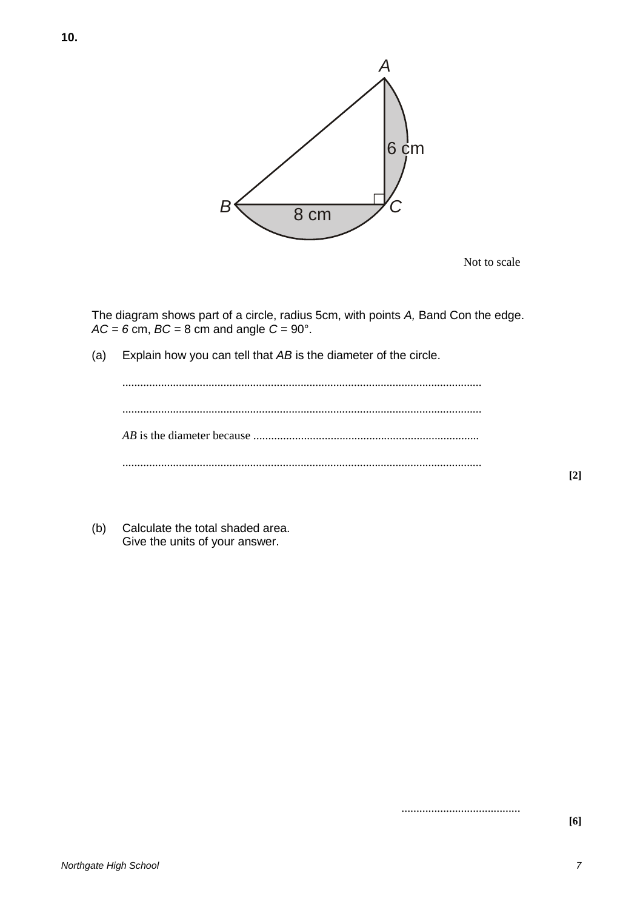

Not to scale

The diagram shows part of a circle, radius 5cm, with points *A,* Band Con the edge. *AC = 6* cm, *BC =* 8 cm and angle *C =* 90°.

(a) Explain how you can tell that *AB* is the diameter of the circle.

(b) Calculate the total shaded area. Give the units of your answer.

........................................

**[2]**